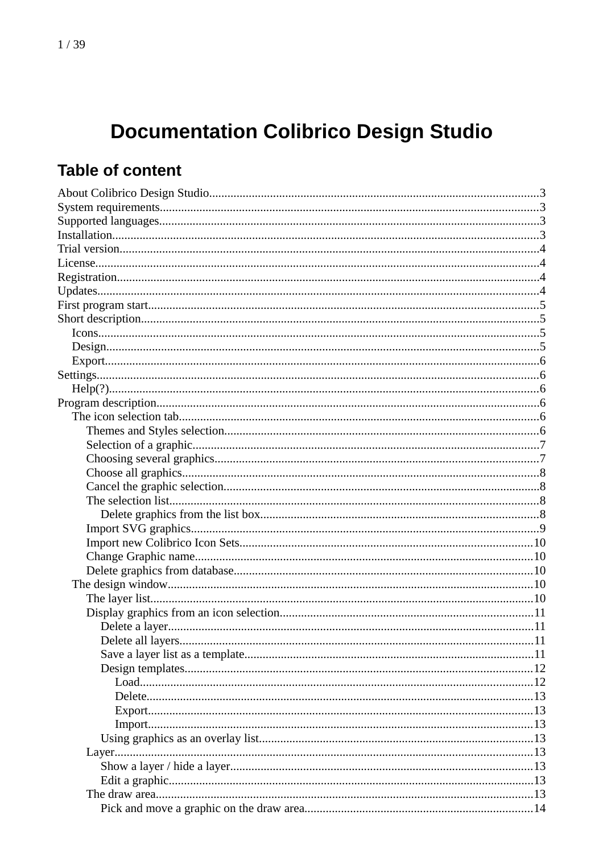# **Documentation Colibrico Design Studio**

# **Table of content**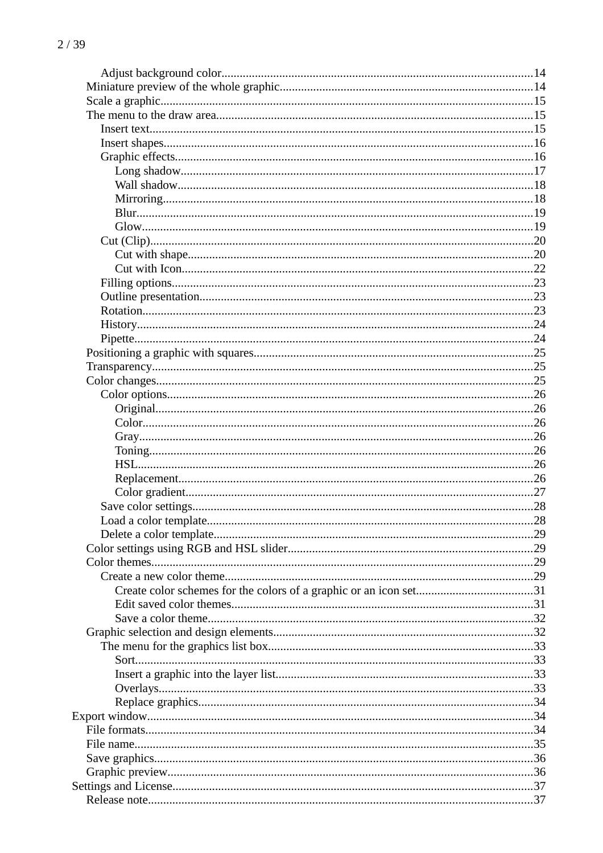| .28 |
|-----|
|     |
|     |
|     |
|     |
|     |
|     |
|     |
|     |
|     |
|     |
|     |
|     |
|     |
|     |
|     |
|     |
|     |
|     |
|     |
|     |
|     |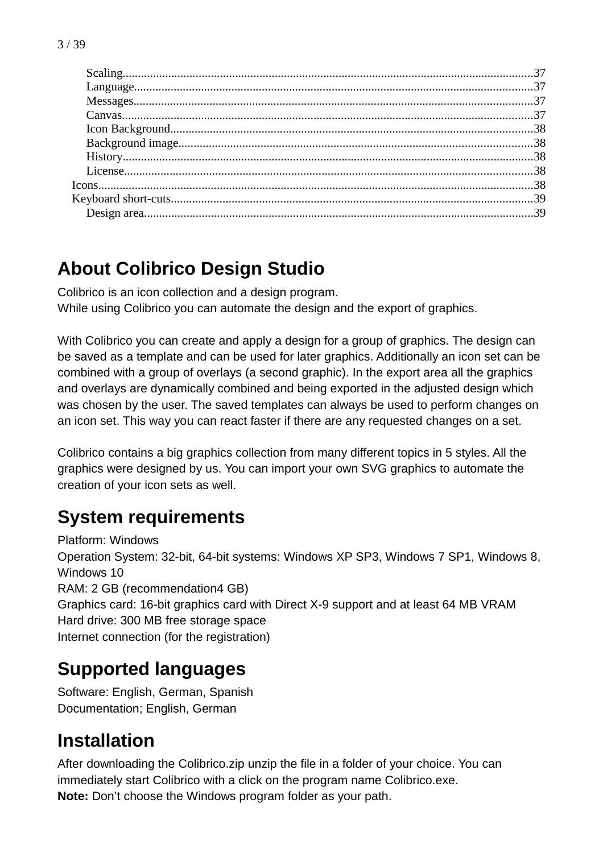# <span id="page-2-3"></span>**About Colibrico Design Studio**

Colibrico is an icon collection and a design program. While using Colibrico you can automate the design and the export of graphics.

With Colibrico you can create and apply a design for a group of graphics. The design can be saved as a template and can be used for later graphics. Additionally an icon set can be combined with a group of overlays (a second graphic). In the export area all the graphics and overlays are dynamically combined and being exported in the adjusted design which was chosen by the user. The saved templates can always be used to perform changes on an icon set. This way you can react faster if there are any requested changes on a set.

Colibrico contains a big graphics collection from many different topics in 5 styles. All the graphics were designed by us. You can import your own SVG graphics to automate the creation of your icon sets as well.

# <span id="page-2-2"></span>**System requirements**

Platform: Windows Operation System: 32-bit, 64-bit systems: Windows XP SP3, Windows 7 SP1, Windows 8, Windows 10 RAM: 2 GB (recommendation4 GB) Graphics card: 16-bit graphics card with Direct X-9 support and at least 64 MB VRAM Hard drive: 300 MB free storage space Internet connection (for the registration)

# <span id="page-2-1"></span>**Supported languages**

Software: English, German, Spanish Documentation; English, German

# <span id="page-2-0"></span>**Installation**

After downloading the Colibrico.zip unzip the file in a folder of your choice. You can immediately start Colibrico with a click on the program name Colibrico.exe. **Note:** Don't choose the Windows program folder as your path.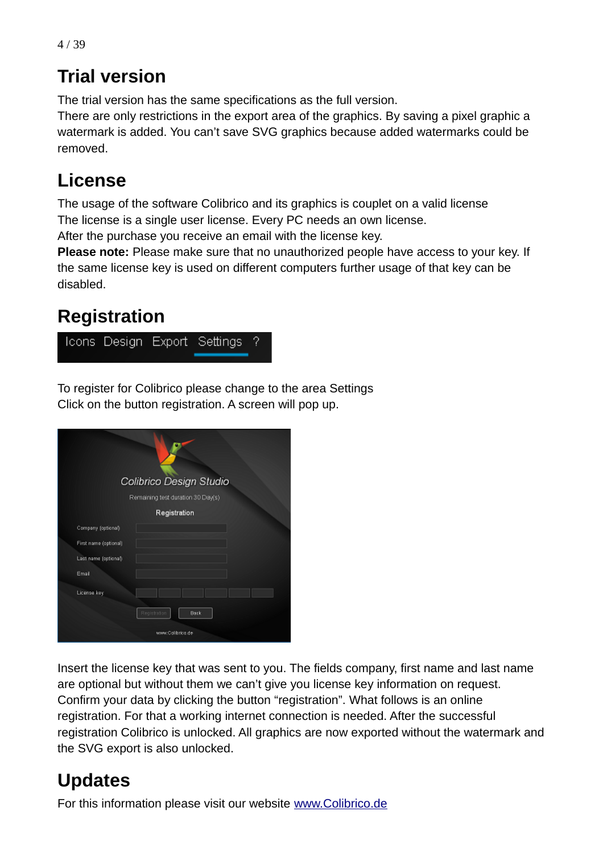# <span id="page-3-3"></span>**Trial version**

The trial version has the same specifications as the full version.

There are only restrictions in the export area of the graphics. By saving a pixel graphic a watermark is added. You can't save SVG graphics because added watermarks could be removed.

# <span id="page-3-2"></span>**License**

The usage of the software Colibrico and its graphics is couplet on a valid license The license is a single user license. Every PC needs an own license.

After the purchase you receive an email with the license key.

**Please note:** Please make sure that no unauthorized people have access to your key. If the same license key is used on different computers further usage of that key can be disabled.

# <span id="page-3-1"></span>**Registration**



To register for Colibrico please change to the area Settings Click on the button registration. A screen will pop up.

| Colibrico Design Studio             |  |
|-------------------------------------|--|
| Remaining test duration 30 Day(s)   |  |
| Registration                        |  |
| Company (optional)                  |  |
| First name (optional)               |  |
| Last name (optional)                |  |
| Email                               |  |
| License key<br>Back<br>Registration |  |
| www.Collistica.de                   |  |

Insert the license key that was sent to you. The fields company, first name and last name are optional but without them we can't give you license key information on request. Confirm your data by clicking the button "registration". What follows is an online registration. For that a working internet connection is needed. After the successful registration Colibrico is unlocked. All graphics are now exported without the watermark and the SVG export is also unlocked.

# <span id="page-3-0"></span>**Updates**

For this information please visit our website [www.Colibrico.de](http://www.Colibrico.de/)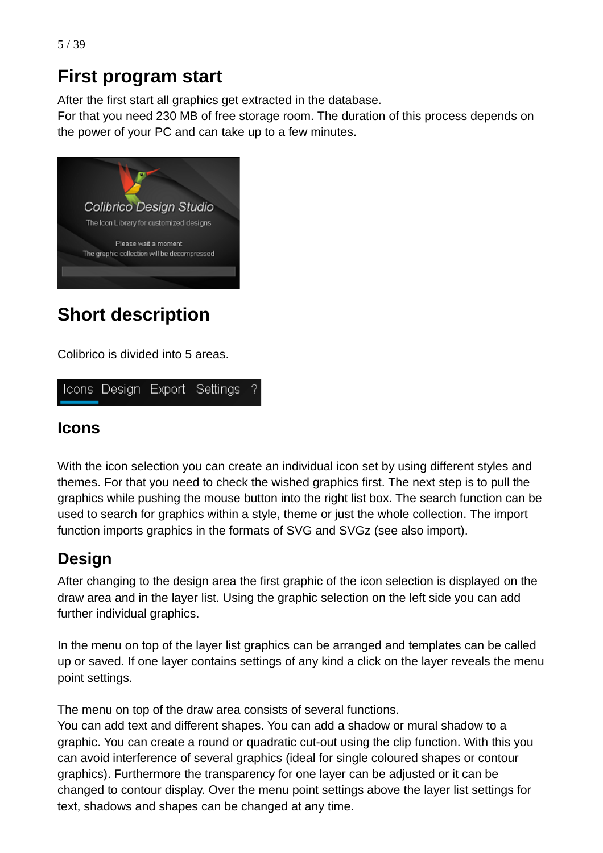# <span id="page-4-3"></span>**First program start**

After the first start all graphics get extracted in the database.

For that you need 230 MB of free storage room. The duration of this process depends on the power of your PC and can take up to a few minutes.



# <span id="page-4-2"></span>**Short description**

Colibrico is divided into 5 areas.



# <span id="page-4-1"></span>**Icons**

With the icon selection you can create an individual icon set by using different styles and themes. For that you need to check the wished graphics first. The next step is to pull the graphics while pushing the mouse button into the right list box. The search function can be used to search for graphics within a style, theme or just the whole collection. The import function imports graphics in the formats of SVG and SVGz (see also import).

# <span id="page-4-0"></span>**Design**

After changing to the design area the first graphic of the icon selection is displayed on the draw area and in the layer list. Using the graphic selection on the left side you can add further individual graphics.

In the menu on top of the layer list graphics can be arranged and templates can be called up or saved. If one layer contains settings of any kind a click on the layer reveals the menu point settings.

The menu on top of the draw area consists of several functions.

You can add text and different shapes. You can add a shadow or mural shadow to a graphic. You can create a round or quadratic cut-out using the clip function. With this you can avoid interference of several graphics (ideal for single coloured shapes or contour graphics). Furthermore the transparency for one layer can be adjusted or it can be changed to contour display. Over the menu point settings above the layer list settings for text, shadows and shapes can be changed at any time.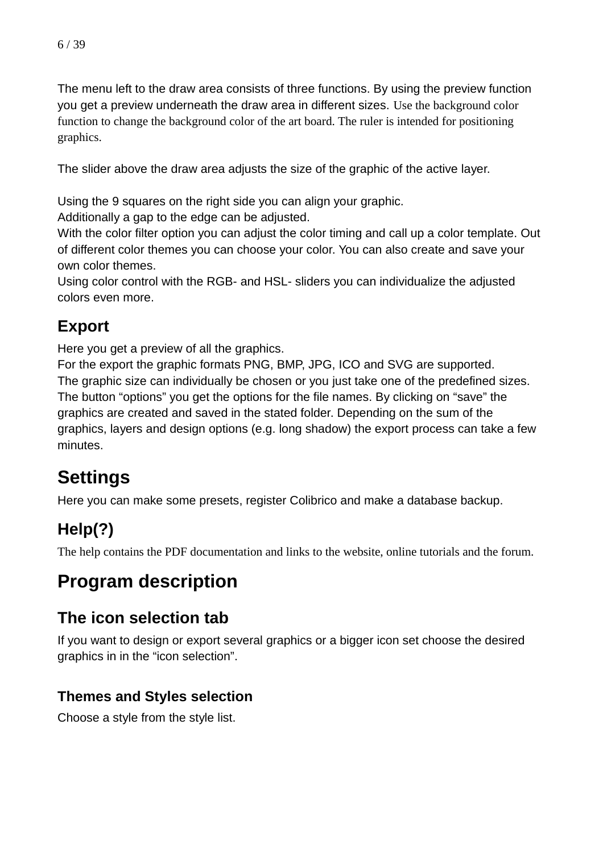The menu left to the draw area consists of three functions. By using the preview function you get a preview underneath the draw area in different sizes. Use the background color function to change the background color of the art board. The ruler is intended for positioning graphics.

The slider above the draw area adjusts the size of the graphic of the active layer.

Using the 9 squares on the right side you can align your graphic.

Additionally a gap to the edge can be adjusted.

With the color filter option you can adjust the color timing and call up a color template. Out of different color themes you can choose your color. You can also create and save your own color themes.

Using color control with the RGB- and HSL- sliders you can individualize the adjusted colors even more.

# <span id="page-5-5"></span>**Export**

Here you get a preview of all the graphics.

For the export the graphic formats PNG, BMP, JPG, ICO and SVG are supported. The graphic size can individually be chosen or you just take one of the predefined sizes. The button "options" you get the options for the file names. By clicking on "save" the graphics are created and saved in the stated folder. Depending on the sum of the graphics, layers and design options (e.g. long shadow) the export process can take a few minutes.

# <span id="page-5-4"></span>**Settings**

Here you can make some presets, register Colibrico and make a database backup.

# <span id="page-5-3"></span>**Help(?)**

The help contains the PDF documentation and links to the website, online tutorials and the forum.

# <span id="page-5-2"></span>**Program description**

# <span id="page-5-1"></span>**The icon selection tab**

If you want to design or export several graphics or a bigger icon set choose the desired graphics in in the "icon selection".

# <span id="page-5-0"></span>**Themes and Styles selection**

Choose a style from the style list.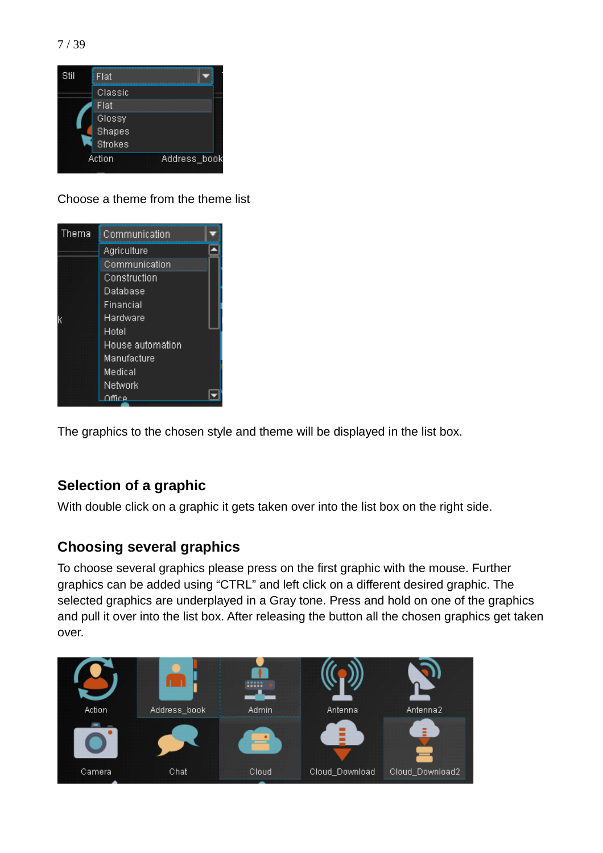| Stil | Flat                   |
|------|------------------------|
|      | Classic                |
|      | Flat                   |
|      | Glossy                 |
|      | Shapes                 |
|      | Strokes                |
|      | Address_book<br>Action |

Choose a theme from the theme list

| Thema | Communication    |
|-------|------------------|
|       | Agriculture      |
|       | Communication    |
|       | Construction     |
|       | Database         |
|       | Financial        |
|       | Hardware         |
|       | Hotel            |
|       | House automation |
|       | Manufacture      |
|       | Medical          |
|       | Network          |
|       | cΑ               |

The graphics to the chosen style and theme will be displayed in the list box.

# <span id="page-6-1"></span>**Selection of a graphic**

With double click on a graphic it gets taken over into the list box on the right side.

# <span id="page-6-0"></span>**Choosing several graphics**

To choose several graphics please press on the first graphic with the mouse. Further graphics can be added using "CTRL" and left click on a different desired graphic. The selected graphics are underplayed in a Gray tone. Press and hold on one of the graphics and pull it over into the list box. After releasing the button all the chosen graphics get taken over.

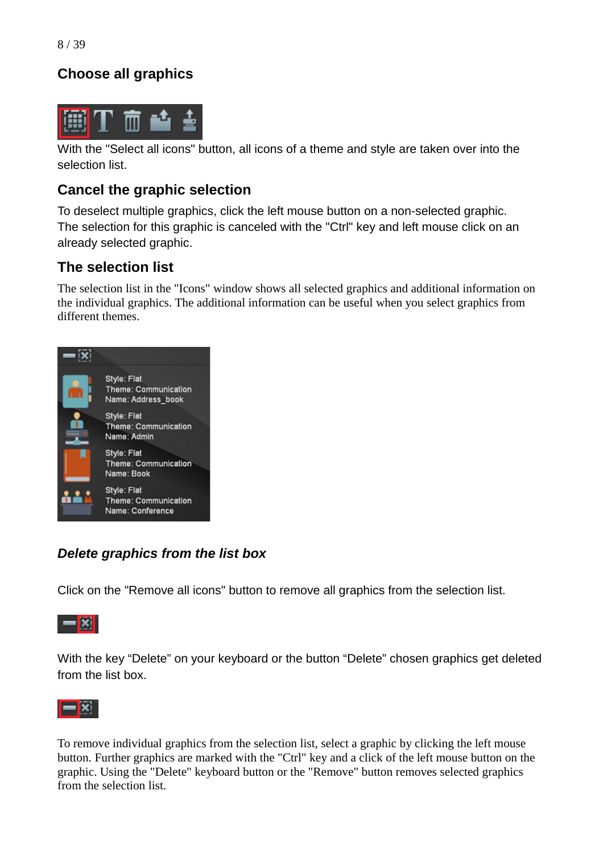# <span id="page-7-3"></span>**Choose all graphics**



With the "Select all icons" button, all icons of a theme and style are taken over into the selection list.

### <span id="page-7-2"></span>**Cancel the graphic selection**

To deselect multiple graphics, click the left mouse button on a non-selected graphic. The selection for this graphic is canceled with the "Ctrl" key and left mouse click on an already selected graphic.

### <span id="page-7-1"></span>**The selection list**

The selection list in the "Icons" window shows all selected graphics and additional information on the individual graphics. The additional information can be useful when you select graphics from different themes.



# <span id="page-7-0"></span>*Delete graphics from the list box*

Click on the "Remove all icons" button to remove all graphics from the selection list.



With the key "Delete" on your keyboard or the button "Delete" chosen graphics get deleted from the list box.



To remove individual graphics from the selection list, select a graphic by clicking the left mouse button. Further graphics are marked with the "Ctrl" key and a click of the left mouse button on the graphic. Using the "Delete" keyboard button or the "Remove" button removes selected graphics from the selection list.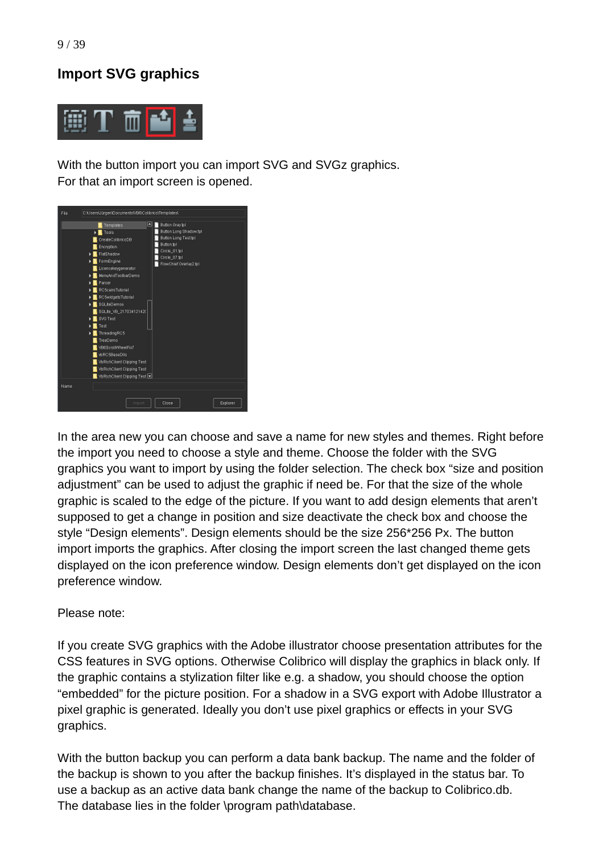# <span id="page-8-0"></span>**Import SVG graphics**



With the button import you can import SVG and SVGz graphics. For that an import screen is opened.



In the area new you can choose and save a name for new styles and themes. Right before the import you need to choose a style and theme. Choose the folder with the SVG graphics you want to import by using the folder selection. The check box "size and position adjustment" can be used to adjust the graphic if need be. For that the size of the whole graphic is scaled to the edge of the picture. If you want to add design elements that aren't supposed to get a change in position and size deactivate the check box and choose the style "Design elements". Design elements should be the size 256\*256 Px. The button import imports the graphics. After closing the import screen the last changed theme gets displayed on the icon preference window. Design elements don't get displayed on the icon preference window.

#### Please note:

If you create SVG graphics with the Adobe illustrator choose presentation attributes for the CSS features in SVG options. Otherwise Colibrico will display the graphics in black only. If the graphic contains a stylization filter like e.g. a shadow, you should choose the option "embedded" for the picture position. For a shadow in a SVG export with Adobe Illustrator a pixel graphic is generated. Ideally you don't use pixel graphics or effects in your SVG graphics.

With the button backup you can perform a data bank backup. The name and the folder of the backup is shown to you after the backup finishes. It's displayed in the status bar. To use a backup as an active data bank change the name of the backup to Colibrico.db. The database lies in the folder \program path\database.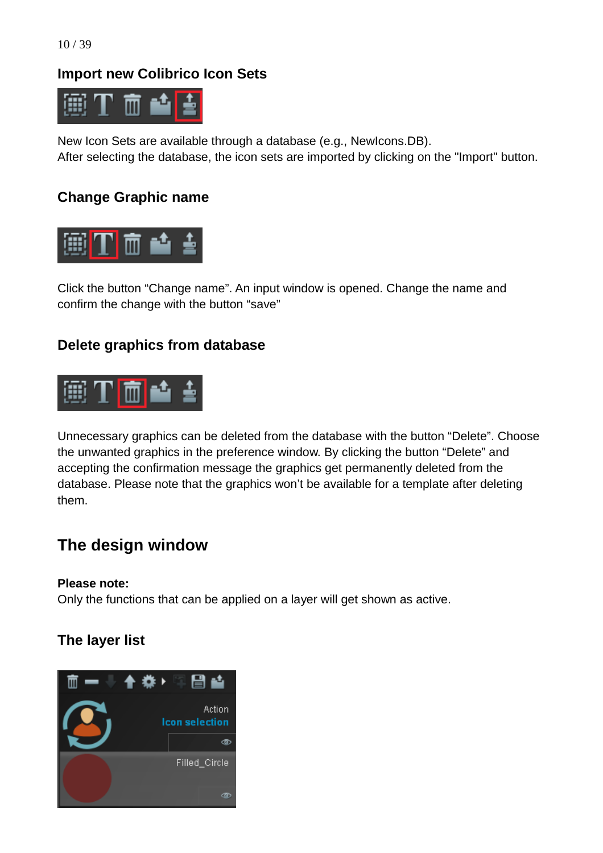### <span id="page-9-4"></span>**Import new Colibrico Icon Sets**



New Icon Sets are available through a database (e.g., NewIcons.DB). After selecting the database, the icon sets are imported by clicking on the "Import" button.

### <span id="page-9-3"></span>**Change Graphic name**



Click the button "Change name". An input window is opened. Change the name and confirm the change with the button "save"

#### <span id="page-9-2"></span>**Delete graphics from database**



Unnecessary graphics can be deleted from the database with the button "Delete". Choose the unwanted graphics in the preference window. By clicking the button "Delete" and accepting the confirmation message the graphics get permanently deleted from the database. Please note that the graphics won't be available for a template after deleting them.

# <span id="page-9-1"></span>**The design window**

#### **Please note:**

Only the functions that can be applied on a layer will get shown as active.

### <span id="page-9-0"></span>**The layer list**

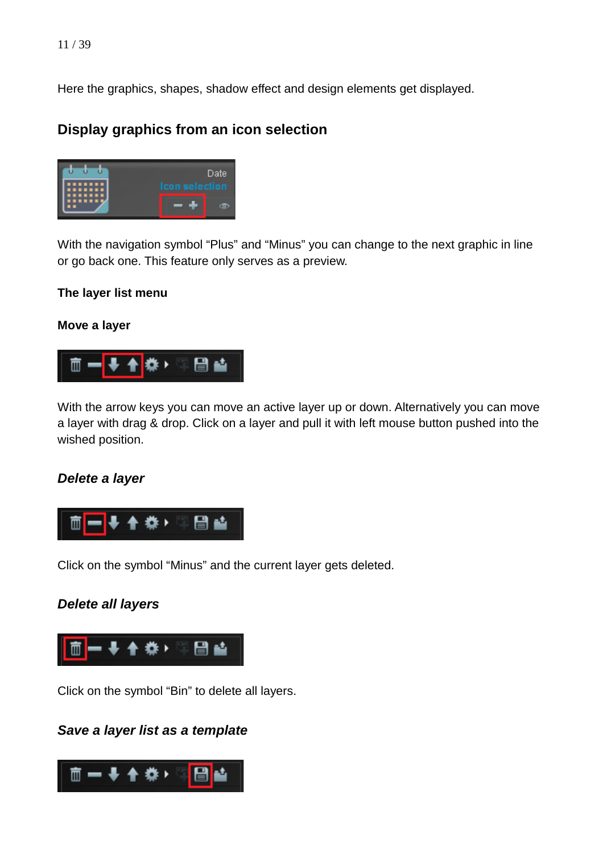Here the graphics, shapes, shadow effect and design elements get displayed.

# <span id="page-10-3"></span>**Display graphics from an icon selection**



With the navigation symbol "Plus" and "Minus" you can change to the next graphic in line or go back one. This feature only serves as a preview.

#### **The layer list menu**

#### **Move a layer**



With the arrow keys you can move an active layer up or down. Alternatively you can move a layer with drag & drop. Click on a layer and pull it with left mouse button pushed into the wished position.

#### <span id="page-10-2"></span>*Delete a layer*



Click on the symbol "Minus" and the current layer gets deleted.

#### <span id="page-10-1"></span>*Delete all layers*



Click on the symbol "Bin" to delete all layers.

### <span id="page-10-0"></span>*Save a layer list as a template*

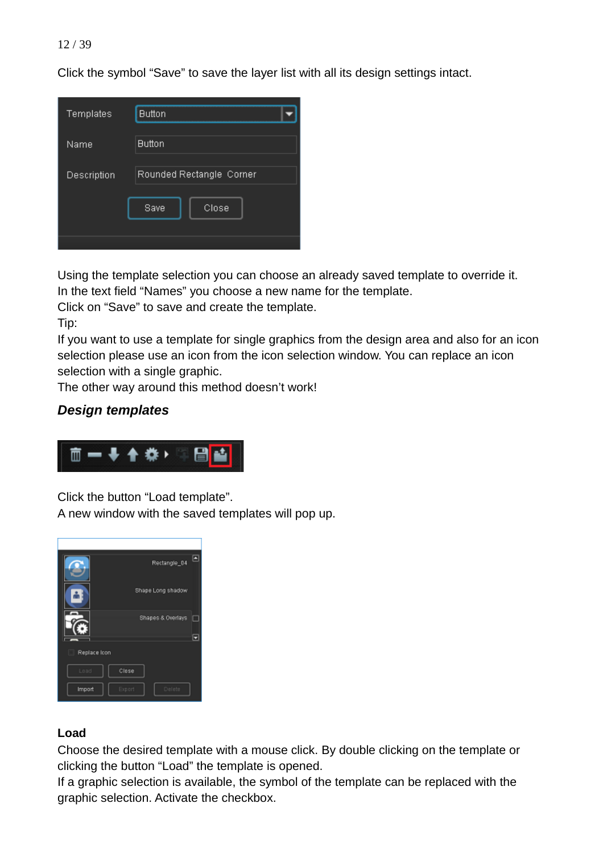Click the symbol "Save" to save the layer list with all its design settings intact.

| Templates   | <b>Button</b>            |
|-------------|--------------------------|
| Name        | <b>Button</b>            |
| Description | Rounded Rectangle Corner |
|             | Close<br>Save            |
|             |                          |

Using the template selection you can choose an already saved template to override it. In the text field "Names" you choose a new name for the template.

Click on "Save" to save and create the template.

Tip:

If you want to use a template for single graphics from the design area and also for an icon selection please use an icon from the icon selection window. You can replace an icon selection with a single graphic.

The other way around this method doesn't work!

#### <span id="page-11-1"></span>*Design templates*



Click the button "Load template".

A new window with the saved templates will pop up.

|              | Rectangle_04      |
|--------------|-------------------|
|              | Shape Long shadow |
|              | Shapes & Overlays |
| Replace Icon |                   |
| Load         | Close             |
| Import       | Delete<br>Export  |

#### <span id="page-11-0"></span>**Load**

Choose the desired template with a mouse click. By double clicking on the template or clicking the button "Load" the template is opened.

If a graphic selection is available, the symbol of the template can be replaced with the graphic selection. Activate the checkbox.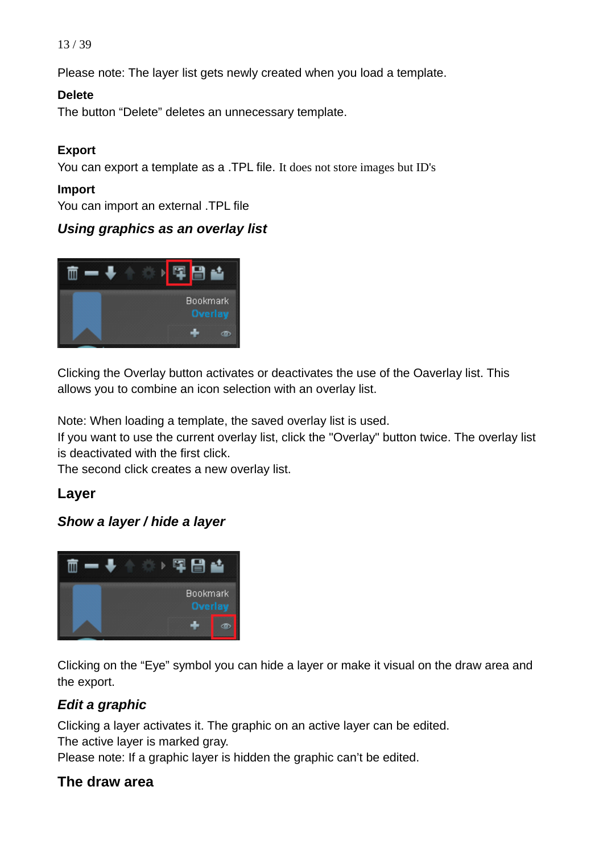Please note: The layer list gets newly created when you load a template.

#### <span id="page-12-7"></span>**Delete**

The button "Delete" deletes an unnecessary template.

#### <span id="page-12-6"></span>**Export**

You can export a template as a .TPL file. It does not store images but ID's

#### <span id="page-12-5"></span>**Import**

You can import an external .TPL file

### <span id="page-12-4"></span>*Using graphics as an overlay list*



Clicking the Overlay button activates or deactivates the use of the Oaverlay list. This allows you to combine an icon selection with an overlay list.

Note: When loading a template, the saved overlay list is used.

If you want to use the current overlay list, click the "Overlay" button twice. The overlay list is deactivated with the first click.

The second click creates a new overlay list.

#### <span id="page-12-3"></span>**Layer**

### <span id="page-12-2"></span>*Show a layer / hide a layer*



Clicking on the "Eye" symbol you can hide a layer or make it visual on the draw area and the export.

#### <span id="page-12-1"></span>*Edit a graphic*

Clicking a layer activates it. The graphic on an active layer can be edited. The active layer is marked gray.

Please note: If a graphic layer is hidden the graphic can't be edited.

#### <span id="page-12-0"></span>**The draw area**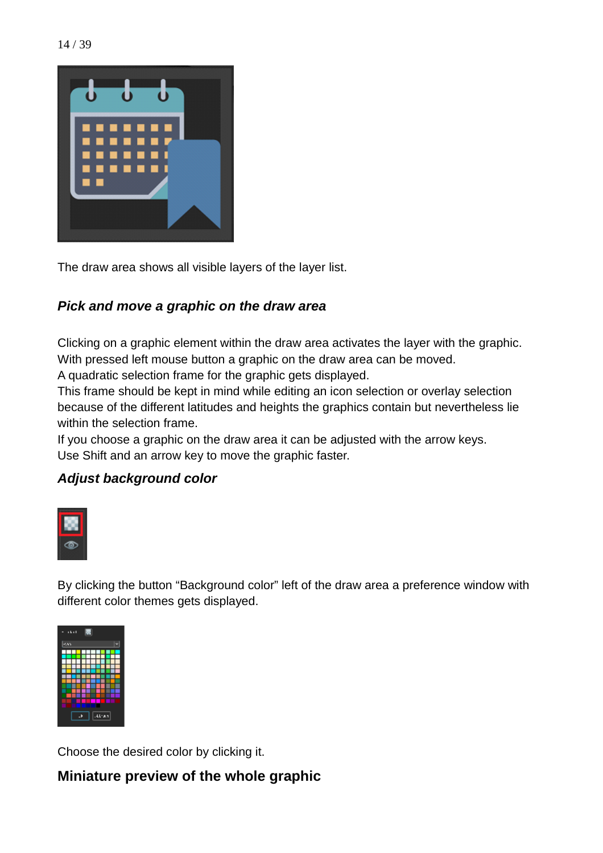14 / 39



The draw area shows all visible layers of the layer list.

### <span id="page-13-0"></span>*Pick and move a graphic on the draw area*

Clicking on a graphic element within the draw area activates the layer with the graphic. With pressed left mouse button a graphic on the draw area can be moved. A quadratic selection frame for the graphic gets displayed.

This frame should be kept in mind while editing an icon selection or overlay selection because of the different latitudes and heights the graphics contain but nevertheless lie within the selection frame.

If you choose a graphic on the draw area it can be adjusted with the arrow keys. Use Shift and an arrow key to move the graphic faster.

### <span id="page-13-2"></span>*Adjust background color*



By clicking the button "Background color" left of the draw area a preference window with different color themes gets displayed.



Choose the desired color by clicking it.

<span id="page-13-1"></span>**Miniature preview of the whole graphic**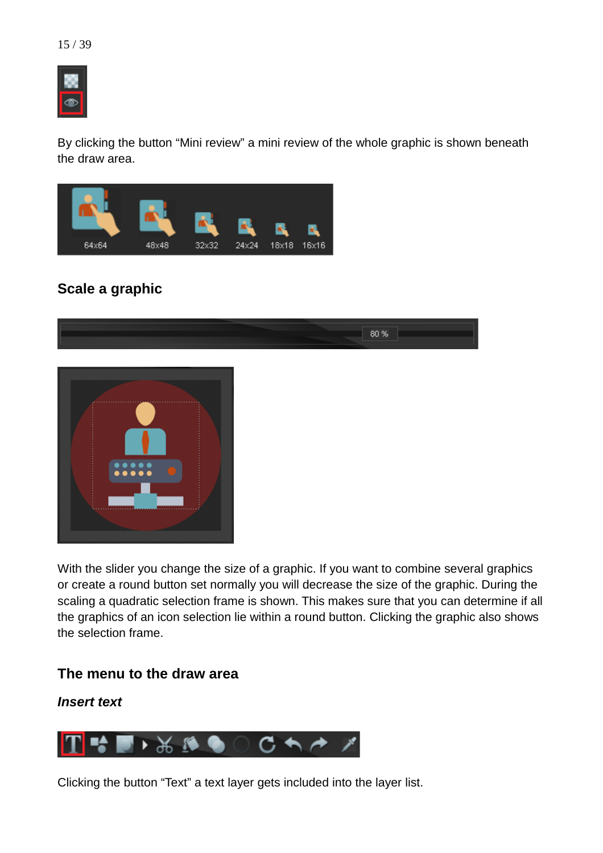

By clicking the button "Mini review" a mini review of the whole graphic is shown beneath the draw area.



# <span id="page-14-2"></span>**Scale a graphic**





With the slider you change the size of a graphic. If you want to combine several graphics or create a round button set normally you will decrease the size of the graphic. During the scaling a quadratic selection frame is shown. This makes sure that you can determine if all the graphics of an icon selection lie within a round button. Clicking the graphic also shows the selection frame.

#### <span id="page-14-1"></span>**The menu to the draw area**

<span id="page-14-0"></span>*Insert text*



Clicking the button "Text" a text layer gets included into the layer list.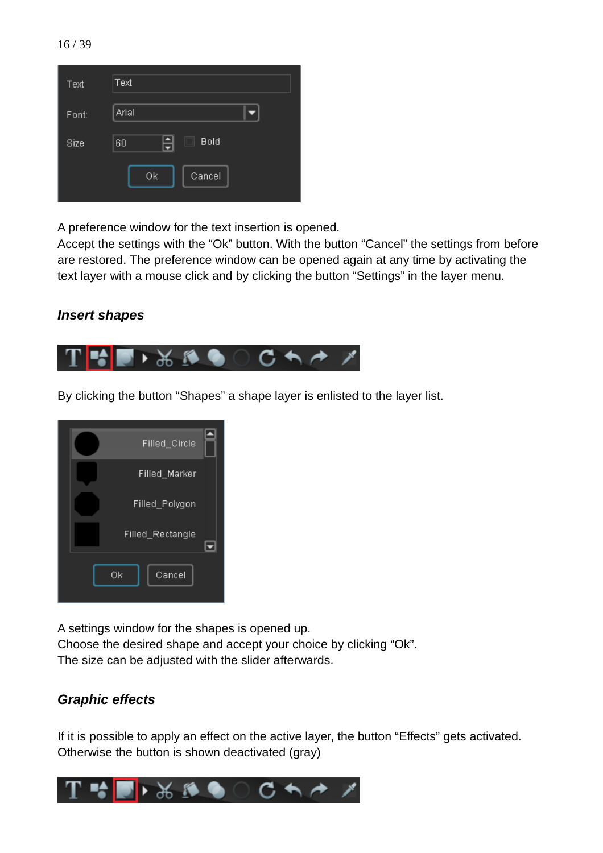| Text  | Text                        |
|-------|-----------------------------|
| Font: | Arial                       |
| Size  | <b>Bold</b><br>≏<br>60<br>٠ |
|       | Ok<br>Cancel                |

A preference window for the text insertion is opened.

Accept the settings with the "Ok" button. With the button "Cancel" the settings from before are restored. The preference window can be opened again at any time by activating the text layer with a mouse click and by clicking the button "Settings" in the layer menu.

#### <span id="page-15-1"></span>*Insert shapes*



By clicking the button "Shapes" a shape layer is enlisted to the layer list.



A settings window for the shapes is opened up. Choose the desired shape and accept your choice by clicking "Ok". The size can be adjusted with the slider afterwards.

#### <span id="page-15-0"></span>*Graphic effects*

If it is possible to apply an effect on the active layer, the button "Effects" gets activated. Otherwise the button is shown deactivated (gray)

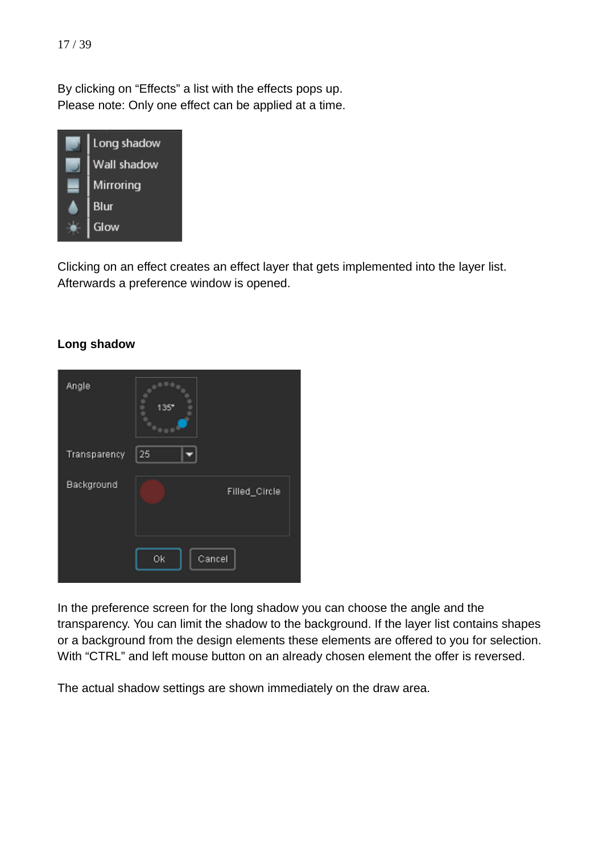By clicking on "Effects" a list with the effects pops up. Please note: Only one effect can be applied at a time.



Clicking on an effect creates an effect layer that gets implemented into the layer list. Afterwards a preference window is opened.

#### <span id="page-16-0"></span>**Long shadow**



In the preference screen for the long shadow you can choose the angle and the transparency. You can limit the shadow to the background. If the layer list contains shapes or a background from the design elements these elements are offered to you for selection. With "CTRL" and left mouse button on an already chosen element the offer is reversed.

The actual shadow settings are shown immediately on the draw area.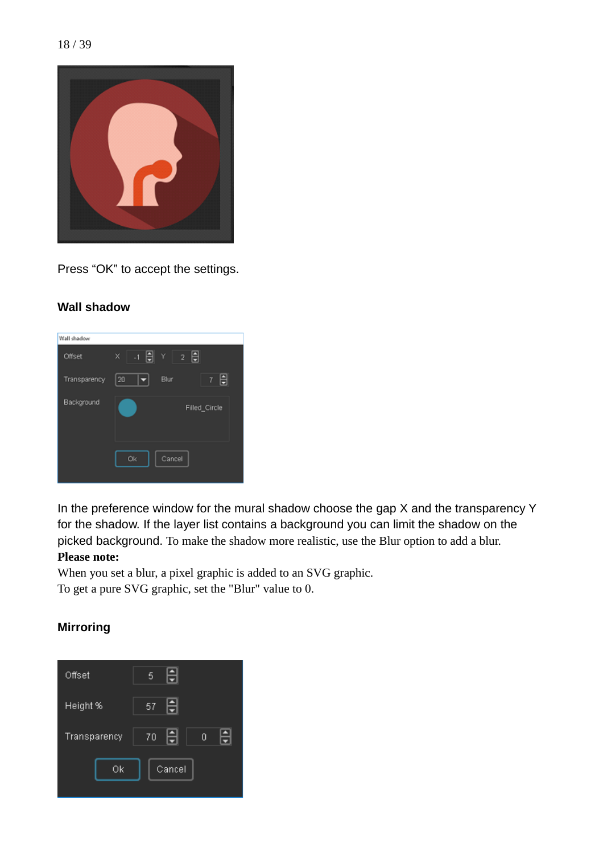

Press "OK" to accept the settings.

#### <span id="page-17-1"></span>**Wall shadow**

| Wall shadow  |                                                       |
|--------------|-------------------------------------------------------|
| Offset       | $\mathbf{B}$<br>E<br>Y<br>×<br>$-1$<br>$\overline{2}$ |
| Transparency | A<br>Blur<br>20<br>7                                  |
| Background   | Filled_Circle                                         |
|              | Cancel<br>Ok                                          |

In the preference window for the mural shadow choose the gap X and the transparency Y for the shadow. If the layer list contains a background you can limit the shadow on the picked background. To make the shadow more realistic, use the Blur option to add a blur.

#### **Please note:**

When you set a blur, a pixel graphic is added to an SVG graphic. To get a pure SVG graphic, set the "Blur" value to 0.

#### <span id="page-17-0"></span>**Mirroring**

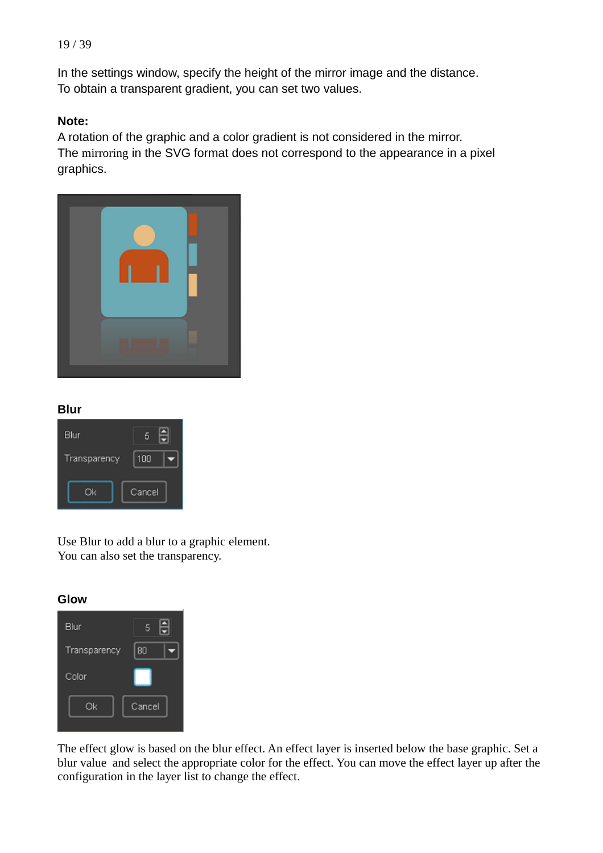In the settings window, specify the height of the mirror image and the distance. To obtain a transparent gradient, you can set two values.

#### **Note:**

A rotation of the graphic and a color gradient is not considered in the mirror. The mirroring in the SVG format does not correspond to the appearance in a pixel graphics.



#### <span id="page-18-1"></span>**Blur**



Use Blur to add a blur to a graphic element. You can also set the transparency.

#### <span id="page-18-0"></span>**Glow**



The effect glow is based on the blur effect. An effect layer is inserted below the base graphic. Set a blur value and select the appropriate color for the effect. You can move the effect layer up after the configuration in the layer list to change the effect.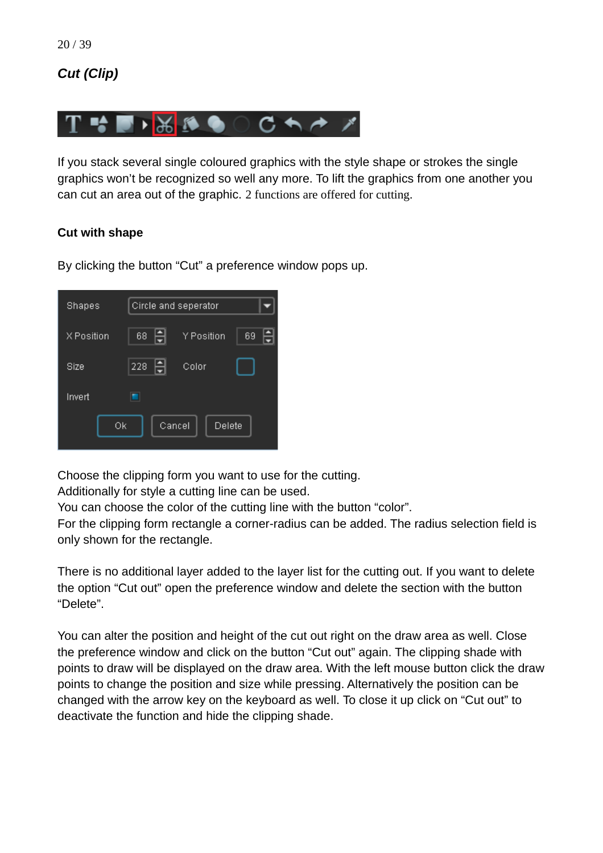<span id="page-19-1"></span>

If you stack several single coloured graphics with the style shape or strokes the single graphics won't be recognized so well any more. To lift the graphics from one another you can cut an area out of the graphic. 2 functions are offered for cutting.

#### <span id="page-19-0"></span>**Cut with shape**

By clicking the button "Cut" a preference window pops up.



Choose the clipping form you want to use for the cutting.

Additionally for style a cutting line can be used.

You can choose the color of the cutting line with the button "color".

For the clipping form rectangle a corner-radius can be added. The radius selection field is only shown for the rectangle.

There is no additional layer added to the layer list for the cutting out. If you want to delete the option "Cut out" open the preference window and delete the section with the button "Delete".

You can alter the position and height of the cut out right on the draw area as well. Close the preference window and click on the button "Cut out" again. The clipping shade with points to draw will be displayed on the draw area. With the left mouse button click the draw points to change the position and size while pressing. Alternatively the position can be changed with the arrow key on the keyboard as well. To close it up click on "Cut out" to deactivate the function and hide the clipping shade.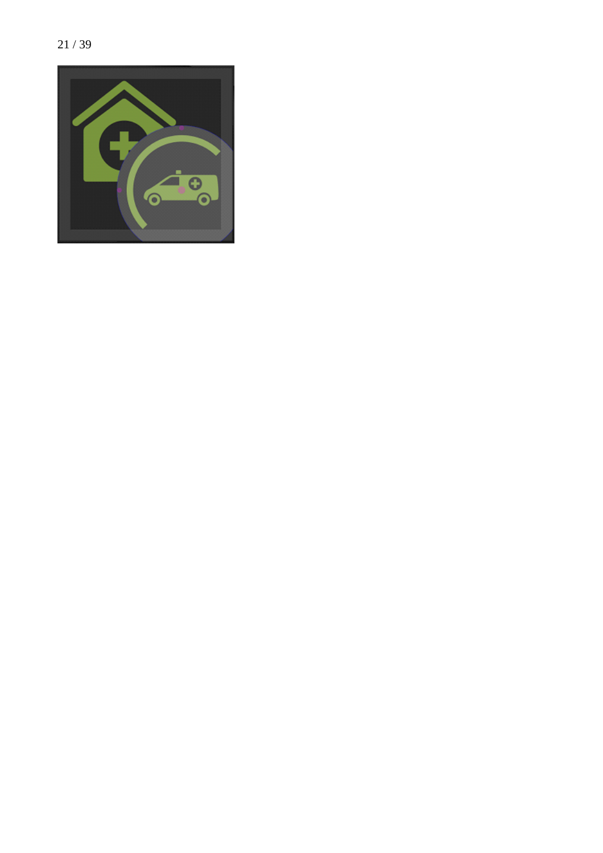

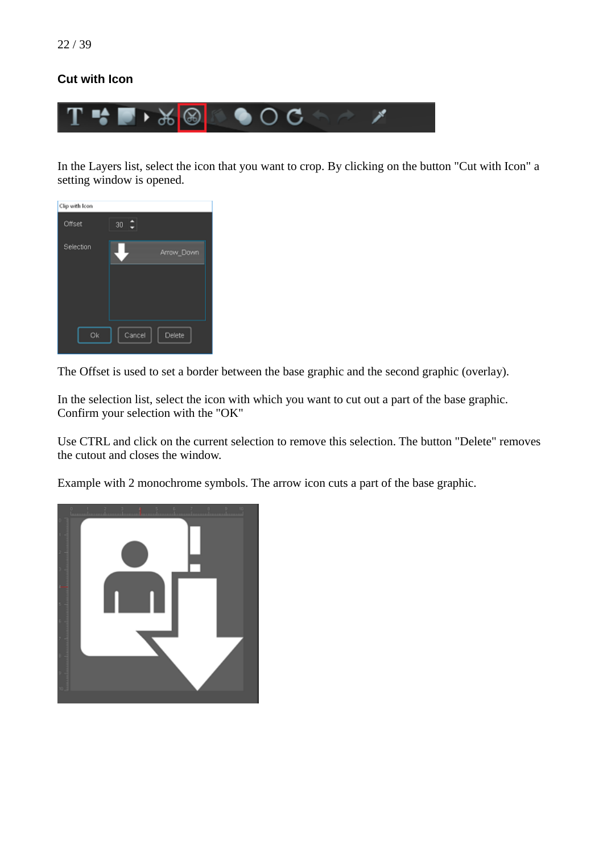#### <span id="page-21-0"></span>**Cut with Icon**



In the Layers list, select the icon that you want to crop. By clicking on the button "Cut with Icon" a setting window is opened.



The Offset is used to set a border between the base graphic and the second graphic (overlay).

In the selection list, select the icon with which you want to cut out a part of the base graphic. Confirm your selection with the "OK"

Use CTRL and click on the current selection to remove this selection. The button "Delete" removes the cutout and closes the window.

Example with 2 monochrome symbols. The arrow icon cuts a part of the base graphic.

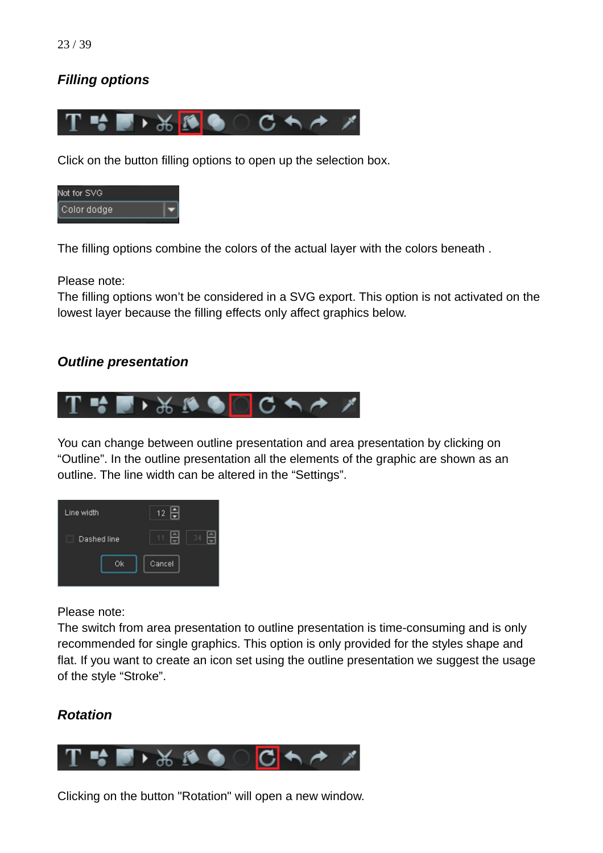### <span id="page-22-2"></span>*Filling options*



Click on the button filling options to open up the selection box.



The filling options combine the colors of the actual layer with the colors beneath .

Please note:

The filling options won't be considered in a SVG export. This option is not activated on the lowest layer because the filling effects only affect graphics below.

#### <span id="page-22-1"></span>*Outline presentation*



You can change between outline presentation and area presentation by clicking on "Outline". In the outline presentation all the elements of the graphic are shown as an outline. The line width can be altered in the "Settings".



Please note:

The switch from area presentation to outline presentation is time-consuming and is only recommended for single graphics. This option is only provided for the styles shape and flat. If you want to create an icon set using the outline presentation we suggest the usage of the style "Stroke".

#### <span id="page-22-0"></span>*Rotation*



Clicking on the button "Rotation" will open a new window.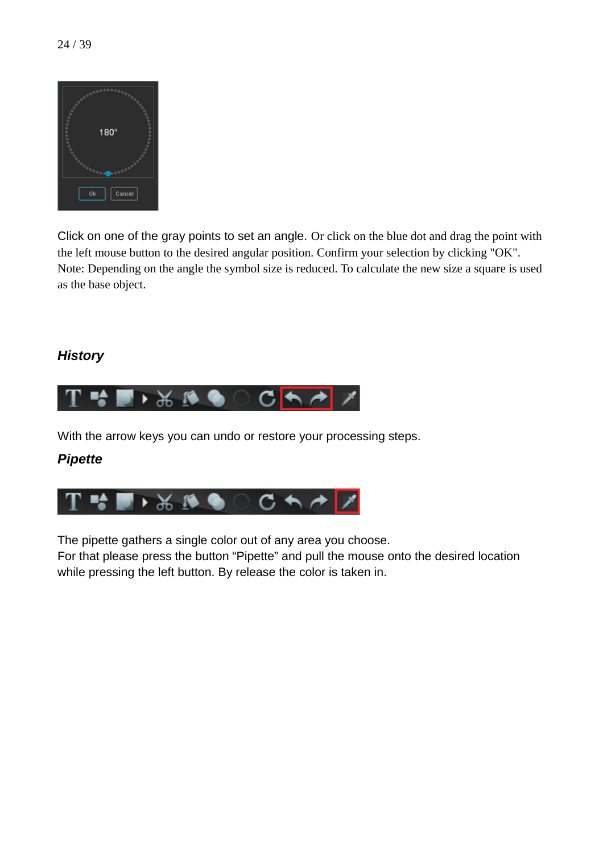

Click on one of the gray points to set an angle. Or click on the blue dot and drag the point with the left mouse button to the desired angular position. Confirm your selection by clicking "OK". Note: Depending on the angle the symbol size is reduced. To calculate the new size a square is used as the base object.

#### <span id="page-23-1"></span>*History*



With the arrow keys you can undo or restore your processing steps.

### <span id="page-23-0"></span>*Pipette*



The pipette gathers a single color out of any area you choose.

For that please press the button "Pipette" and pull the mouse onto the desired location while pressing the left button. By release the color is taken in.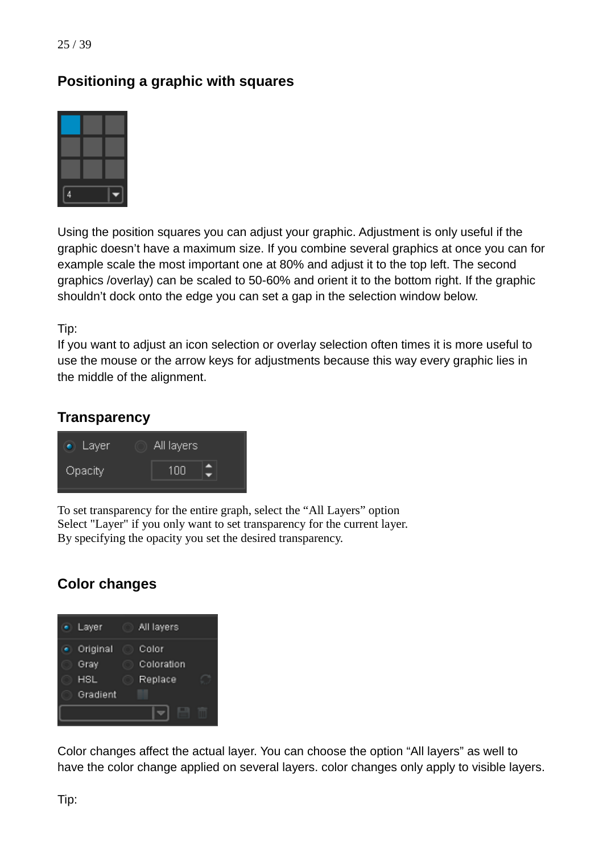### <span id="page-24-2"></span>**Positioning a graphic with squares**



Using the position squares you can adjust your graphic. Adjustment is only useful if the graphic doesn't have a maximum size. If you combine several graphics at once you can for example scale the most important one at 80% and adjust it to the top left. The second graphics /overlay) can be scaled to 50-60% and orient it to the bottom right. If the graphic shouldn't dock onto the edge you can set a gap in the selection window below.

Tip:

If you want to adjust an icon selection or overlay selection often times it is more useful to use the mouse or the arrow keys for adjustments because this way every graphic lies in the middle of the alignment.

#### <span id="page-24-1"></span>**Transparency**



To set transparency for the entire graph, select the "All Layers" option Select "Layer" if you only want to set transparency for the current layer. By specifying the opacity you set the desired transparency.

# <span id="page-24-0"></span>**Color changes**



Color changes affect the actual layer. You can choose the option "All layers" as well to have the color change applied on several layers. color changes only apply to visible layers.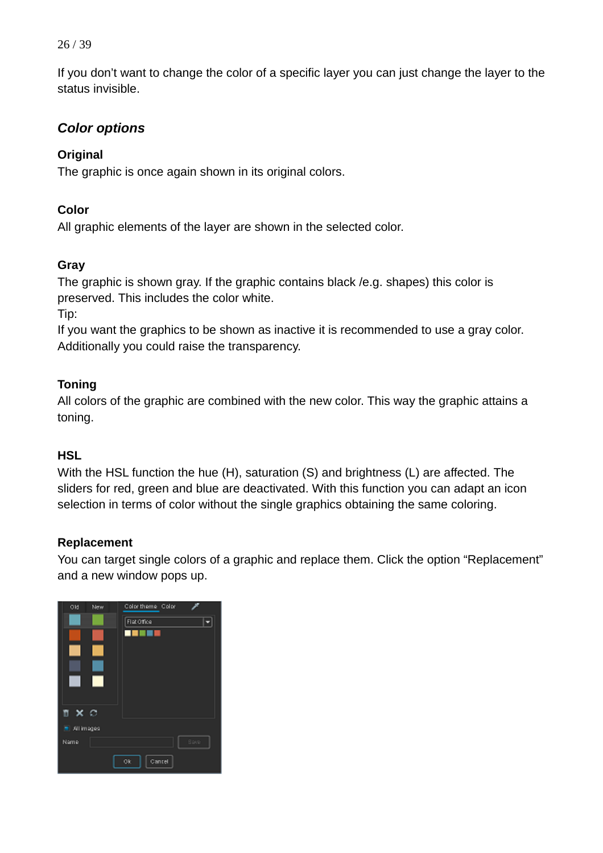If you don't want to change the color of a specific layer you can just change the layer to the status invisible.

### <span id="page-25-6"></span>*Color options*

#### <span id="page-25-5"></span>**Original**

The graphic is once again shown in its original colors.

#### <span id="page-25-4"></span>**Color**

All graphic elements of the layer are shown in the selected color.

#### <span id="page-25-3"></span>**Gray**

The graphic is shown gray. If the graphic contains black /e.g. shapes) this color is preserved. This includes the color white.

Tip:

If you want the graphics to be shown as inactive it is recommended to use a gray color. Additionally you could raise the transparency.

#### <span id="page-25-2"></span>**Toning**

All colors of the graphic are combined with the new color. This way the graphic attains a toning.

#### <span id="page-25-1"></span>**HSL**

With the HSL function the hue (H), saturation (S) and brightness (L) are affected. The sliders for red, green and blue are deactivated. With this function you can adapt an icon selection in terms of color without the single graphics obtaining the same coloring.

#### <span id="page-25-0"></span>**Replacement**

You can target single colors of a graphic and replace them. Click the option "Replacement" and a new window pops up.

| Old<br>New | Color theme Color |
|------------|-------------------|
|            | Fiat Office       |
|            | <b>THE R</b>      |
|            |                   |
|            |                   |
|            |                   |
|            |                   |
| πхс        |                   |
| All images |                   |
| Name       | Baye              |
|            | Ok<br>Cancel      |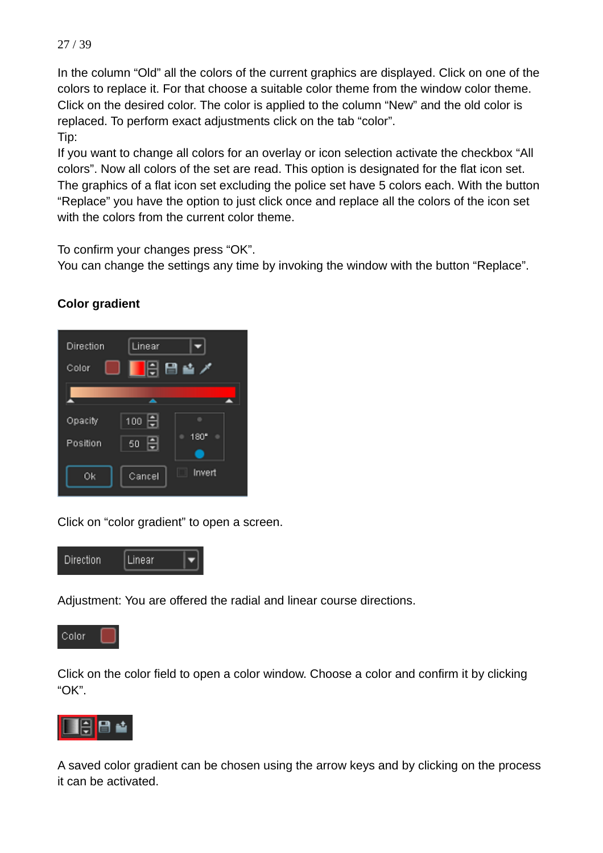In the column "Old" all the colors of the current graphics are displayed. Click on one of the colors to replace it. For that choose a suitable color theme from the window color theme. Click on the desired color. The color is applied to the column "New" and the old color is replaced. To perform exact adjustments click on the tab "color". Tip:

If you want to change all colors for an overlay or icon selection activate the checkbox "All colors". Now all colors of the set are read. This option is designated for the flat icon set. The graphics of a flat icon set excluding the police set have 5 colors each. With the button "Replace" you have the option to just click once and replace all the colors of the icon set with the colors from the current color theme.

To confirm your changes press "OK".

You can change the settings any time by invoking the window with the button "Replace".

#### Direction Linear Color 日時ノ 100 日 Opacity  $180^{\circ}$   $\circ$ 50 日 Position Invert Ok Cancel

#### <span id="page-26-0"></span>**Color gradient**

Click on "color gradient" to open a screen.



Adjustment: You are offered the radial and linear course directions.



Click on the color field to open a color window. Choose a color and confirm it by clicking "OK".



A saved color gradient can be chosen using the arrow keys and by clicking on the process it can be activated.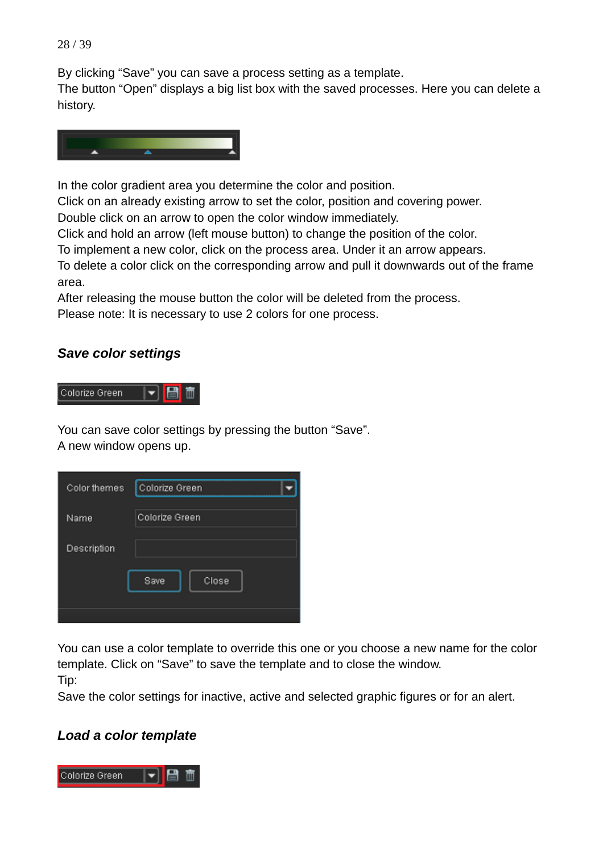By clicking "Save" you can save a process setting as a template.

The button "Open" displays a big list box with the saved processes. Here you can delete a history.



In the color gradient area you determine the color and position.

Click on an already existing arrow to set the color, position and covering power.

Double click on an arrow to open the color window immediately.

Click and hold an arrow (left mouse button) to change the position of the color.

To implement a new color, click on the process area. Under it an arrow appears.

To delete a color click on the corresponding arrow and pull it downwards out of the frame area.

After releasing the mouse button the color will be deleted from the process.

Please note: It is necessary to use 2 colors for one process.

#### <span id="page-27-1"></span>*Save color settings*



You can save color settings by pressing the button "Save". A new window opens up.

| Color themes | Colorize Green |
|--------------|----------------|
| Name         | Colorize Green |
| Description  |                |
|              | Save<br>Close  |
|              |                |

You can use a color template to override this one or you choose a new name for the color template. Click on "Save" to save the template and to close the window. Tip:

Save the color settings for inactive, active and selected graphic figures or for an alert.

### <span id="page-27-0"></span>*Load a color template*

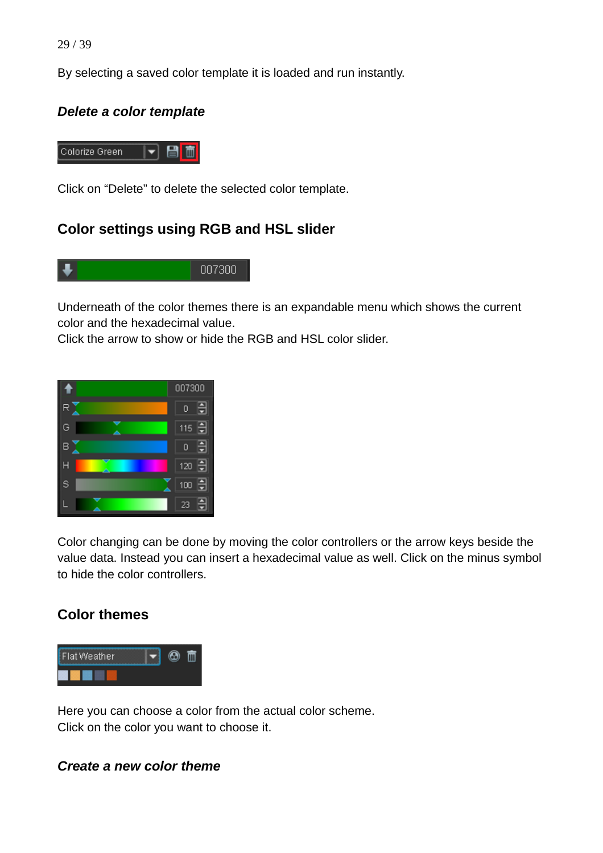By selecting a saved color template it is loaded and run instantly.

#### <span id="page-28-3"></span>*Delete a color template*



Click on "Delete" to delete the selected color template.

#### <span id="page-28-2"></span>**Color settings using RGB and HSL slider**



Underneath of the color themes there is an expandable menu which shows the current color and the hexadecimal value.

Click the arrow to show or hide the RGB and HSL color slider.



Color changing can be done by moving the color controllers or the arrow keys beside the value data. Instead you can insert a hexadecimal value as well. Click on the minus symbol to hide the color controllers.

#### <span id="page-28-1"></span>**Color themes**



Here you can choose a color from the actual color scheme. Click on the color you want to choose it.

#### <span id="page-28-0"></span>*Create a new color theme*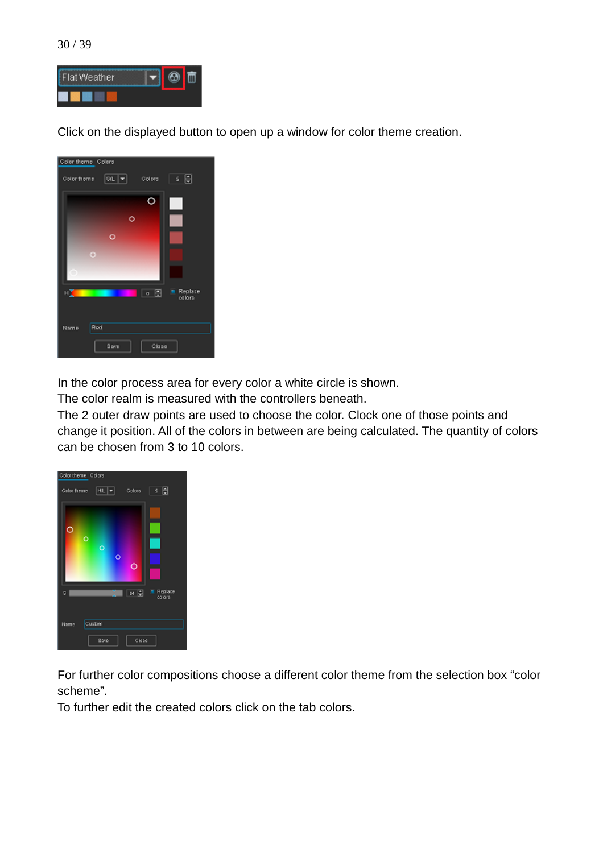

Click on the displayed button to open up a window for color theme creation.

|             | Color theme Colors                    |
|-------------|---------------------------------------|
| Color freme | s 日<br>sn.   <del>v</del>  <br>Colors |
|             |                                       |
|             |                                       |
|             | ۰                                     |
|             | ۰                                     |
|             |                                       |
| нT          | Replace<br>◎ 圓<br>colors              |
|             |                                       |
| Name        | Red                                   |
|             | <b>Baye</b><br>Close                  |

In the color process area for every color a white circle is shown.

The color realm is measured with the controllers beneath.

The 2 outer draw points are used to choose the color. Clock one of those points and change it position. All of the colors in between are being calculated. The quantity of colors can be chosen from 3 to 10 colors.



For further color compositions choose a different color theme from the selection box "color scheme".

To further edit the created colors click on the tab colors.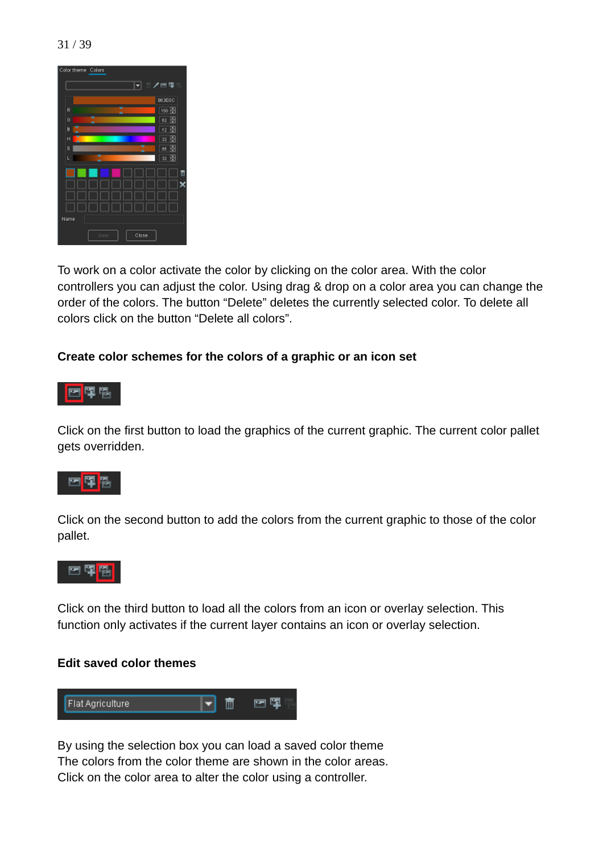

To work on a color activate the color by clicking on the color area. With the color controllers you can adjust the color. Using drag & drop on a color area you can change the order of the colors. The button "Delete" deletes the currently selected color. To delete all colors click on the button "Delete all colors".

#### <span id="page-30-1"></span>**Create color schemes for the colors of a graphic or an icon set**



Click on the first button to load the graphics of the current graphic. The current color pallet gets overridden.

Click on the second button to add the colors from the current graphic to those of the color pallet.



Click on the third button to load all the colors from an icon or overlay selection. This function only activates if the current layer contains an icon or overlay selection.

#### <span id="page-30-0"></span>**Edit saved color themes**



By using the selection box you can load a saved color theme The colors from the color theme are shown in the color areas. Click on the color area to alter the color using a controller.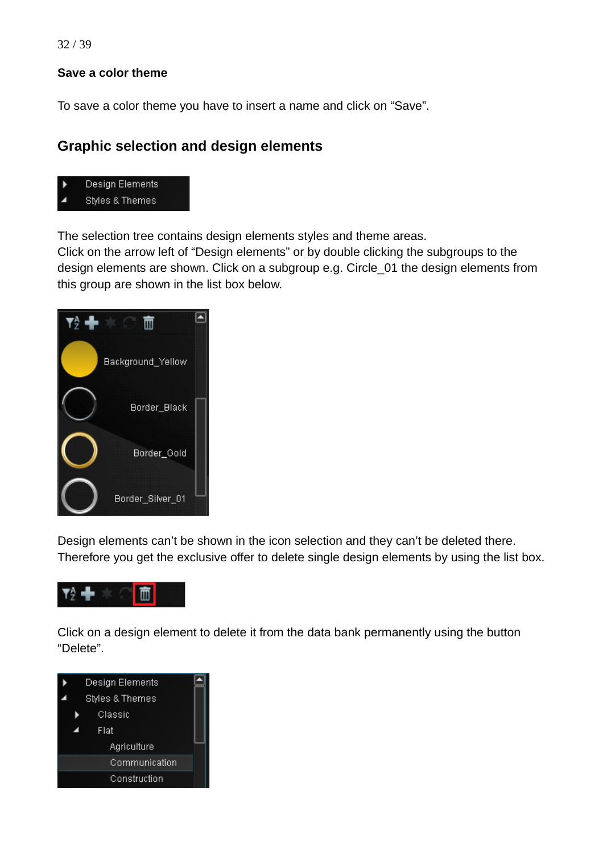#### <span id="page-31-1"></span>**Save a color theme**

To save a color theme you have to insert a name and click on "Save".

### <span id="page-31-0"></span>**Graphic selection and design elements**

| $\overline{\phantom{a}}$ | Design Elements |  |
|--------------------------|-----------------|--|
| $\overline{\phantom{a}}$ | Styles & Themes |  |

The selection tree contains design elements styles and theme areas.

Click on the arrow left of "Design elements" or by double clicking the subgroups to the design elements are shown. Click on a subgroup e.g. Circle 01 the design elements from this group are shown in the list box below.



Design elements can't be shown in the icon selection and they can't be deleted there. Therefore you get the exclusive offer to delete single design elements by using the list box.



Click on a design element to delete it from the data bank permanently using the button "Delete".

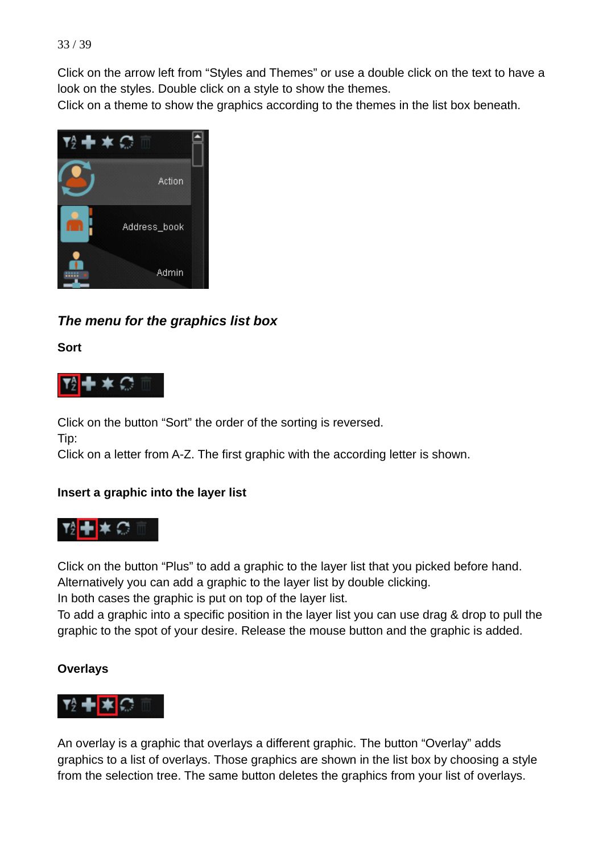Click on the arrow left from "Styles and Themes" or use a double click on the text to have a look on the styles. Double click on a style to show the themes.

Click on a theme to show the graphics according to the themes in the list box beneath.



# <span id="page-32-3"></span>*The menu for the graphics list box*

#### <span id="page-32-2"></span>**Sort**



Click on the button "Sort" the order of the sorting is reversed.

Tip:

Click on a letter from A-Z. The first graphic with the according letter is shown.

#### <span id="page-32-1"></span>**Insert a graphic into the layer list**



Click on the button "Plus" to add a graphic to the layer list that you picked before hand. Alternatively you can add a graphic to the layer list by double clicking.

In both cases the graphic is put on top of the layer list.

To add a graphic into a specific position in the layer list you can use drag & drop to pull the graphic to the spot of your desire. Release the mouse button and the graphic is added.

#### <span id="page-32-0"></span>**Overlays**



An overlay is a graphic that overlays a different graphic. The button "Overlay" adds graphics to a list of overlays. Those graphics are shown in the list box by choosing a style from the selection tree. The same button deletes the graphics from your list of overlays.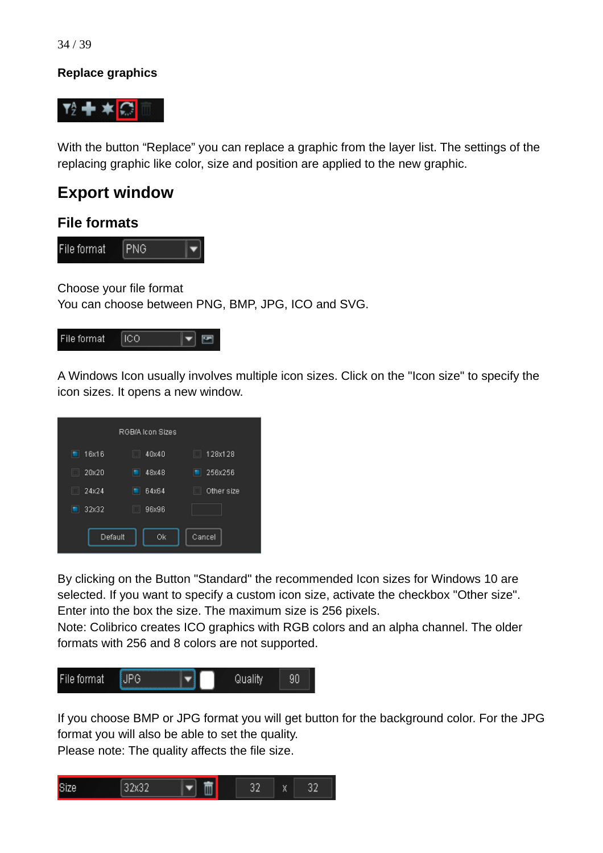#### <span id="page-33-2"></span>**Replace graphics**



With the button "Replace" you can replace a graphic from the layer list. The settings of the replacing graphic like color, size and position are applied to the new graphic.

# <span id="page-33-1"></span>**Export window**

#### <span id="page-33-0"></span>**File formats**



Choose your file format

You can choose between PNG, BMP, JPG, ICO and SVG.



A Windows Icon usually involves multiple icon sizes. Click on the "Icon size" to specify the icon sizes. It opens a new window.

|               | RGB/A Icon Sizes |            |
|---------------|------------------|------------|
| 16x16<br>▬    | 40x40            | 128x128    |
| 20x20<br>العا | 48x48<br>▬       | 256x256    |
| 24x24<br>o    | 64x64<br>▫       | Other size |
| 32x32<br>п    | 96x96            |            |
| Default       | Ok               | Cancel     |

By clicking on the Button "Standard" the recommended Icon sizes for Windows 10 are selected. If you want to specify a custom icon size, activate the checkbox "Other size". Enter into the box the size. The maximum size is 256 pixels.

Note: Colibrico creates ICO graphics with RGB colors and an alpha channel. The older formats with 256 and 8 colors are not supported.



If you choose BMP or JPG format you will get button for the background color. For the JPG format you will also be able to set the quality.

Please note: The quality affects the file size.

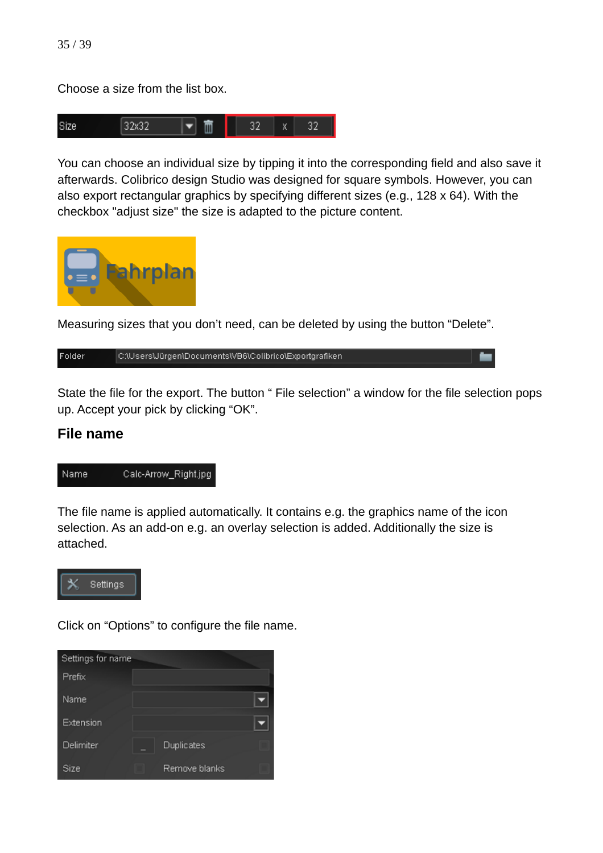Choose a size from the list box.



You can choose an individual size by tipping it into the corresponding field and also save it afterwards. Colibrico design Studio was designed for square symbols. However, you can also export rectangular graphics by specifying different sizes (e.g., 128 x 64). With the checkbox "adjust size" the size is adapted to the picture content.



Measuring sizes that you don't need, can be deleted by using the button "Delete".

```
Folder
 C:\Users\Jürgen\Documents\VB6\Colibrico\Exportgrafiken
```
State the file for the export. The button " File selection" a window for the file selection pops up. Accept your pick by clicking "OK".

#### <span id="page-34-0"></span>**File name**



The file name is applied automatically. It contains e.g. the graphics name of the icon selection. As an add-on e.g. an overlay selection is added. Additionally the size is attached.



Click on "Options" to configure the file name.

| Settings for name |               |  |
|-------------------|---------------|--|
| Prefix            |               |  |
| Name              |               |  |
| <b>Extension</b>  |               |  |
| Delimiter         | Duplicates    |  |
| Size              | Remove blanks |  |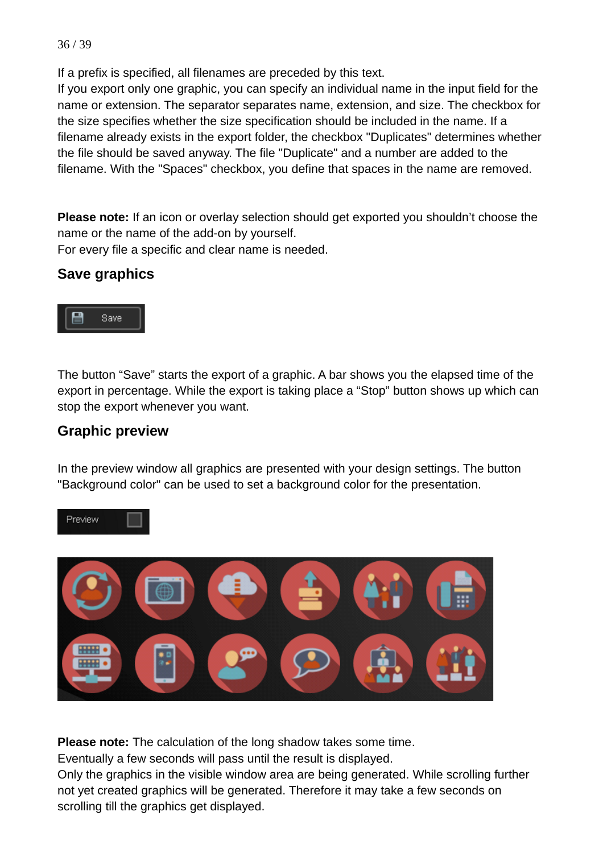# If a prefix is specified, all filenames are preceded by this text.

If you export only one graphic, you can specify an individual name in the input field for the name or extension. The separator separates name, extension, and size. The checkbox for the size specifies whether the size specification should be included in the name. If a filename already exists in the export folder, the checkbox "Duplicates" determines whether the file should be saved anyway. The file "Duplicate" and a number are added to the filename. With the "Spaces" checkbox, you define that spaces in the name are removed.

**Please note:** If an icon or overlay selection should get exported you shouldn't choose the name or the name of the add-on by yourself. For every file a specific and clear name is needed.

# <span id="page-35-1"></span>**Save graphics**



The button "Save" starts the export of a graphic. A bar shows you the elapsed time of the export in percentage. While the export is taking place a "Stop" button shows up which can stop the export whenever you want.

# <span id="page-35-0"></span>**Graphic preview**

In the preview window all graphics are presented with your design settings. The button "Background color" can be used to set a background color for the presentation.



**Please note:** The calculation of the long shadow takes some time.

Eventually a few seconds will pass until the result is displayed.

Only the graphics in the visible window area are being generated. While scrolling further not yet created graphics will be generated. Therefore it may take a few seconds on scrolling till the graphics get displayed.

#### 36 / 39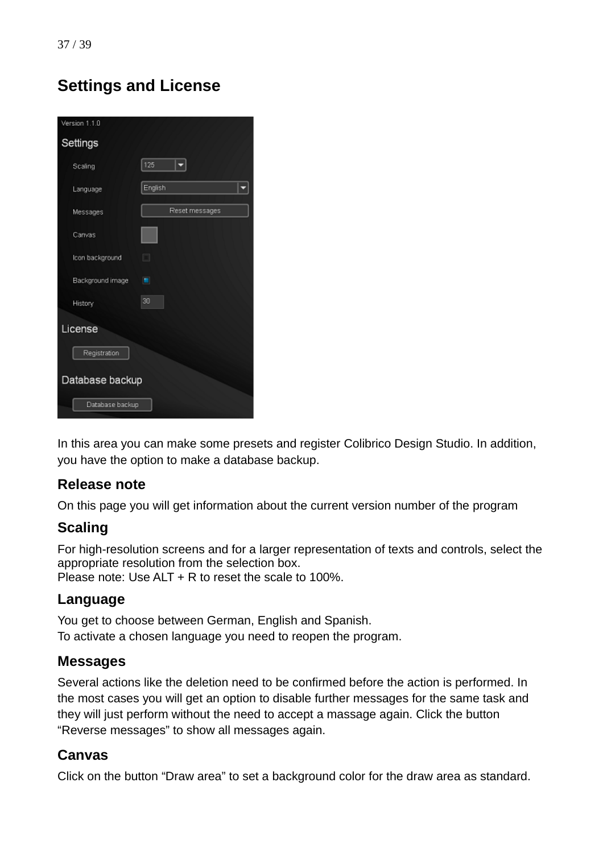# <span id="page-36-1"></span>**Settings and License**

| Version 1.1.0    |                |  |
|------------------|----------------|--|
| Settings         |                |  |
| Scaling          | 125<br>v       |  |
| Language         | English        |  |
| Messages         | Reset messages |  |
| Canvas           |                |  |
| Icon background  | ▣              |  |
| Background image | $\blacksquare$ |  |
| History          | 30             |  |
| License          |                |  |
| Registration     |                |  |
| Database backup  |                |  |
| Database backup  |                |  |

In this area you can make some presets and register Colibrico Design Studio. In addition, you have the option to make a database backup.

### <span id="page-36-0"></span>**Release note**

On this page you will get information about the current version number of the program

#### <span id="page-36-5"></span>**Scaling**

For high-resolution screens and for a larger representation of texts and controls, select the appropriate resolution from the selection box. Please note: Use ALT + R to reset the scale to 100%.

#### <span id="page-36-4"></span>**Language**

You get to choose between German, English and Spanish. To activate a chosen language you need to reopen the program.

#### <span id="page-36-3"></span>**Messages**

Several actions like the deletion need to be confirmed before the action is performed. In the most cases you will get an option to disable further messages for the same task and they will just perform without the need to accept a massage again. Click the button "Reverse messages" to show all messages again.

### <span id="page-36-2"></span>**Canvas**

Click on the button "Draw area" to set a background color for the draw area as standard.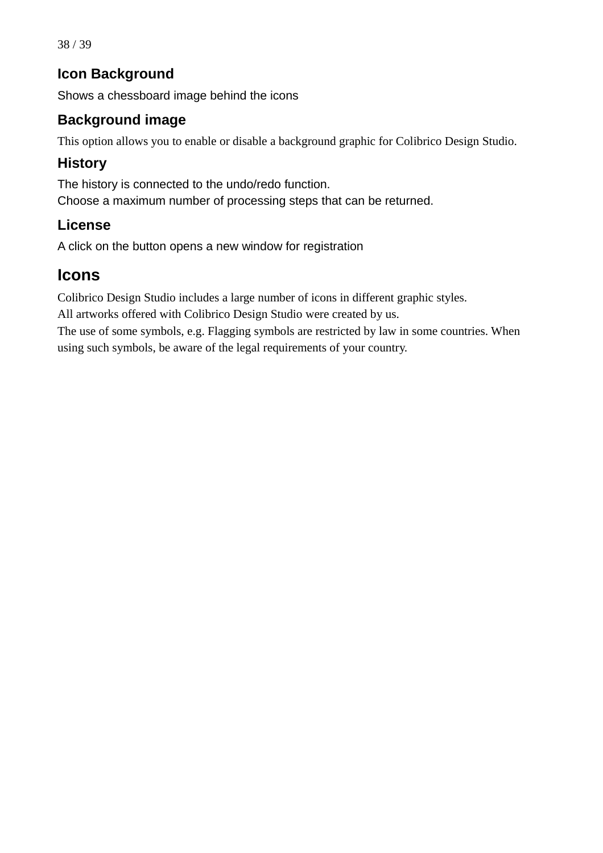# <span id="page-37-4"></span>**Icon Background**

Shows a chessboard image behind the icons

### <span id="page-37-3"></span>**Background image**

This option allows you to enable or disable a background graphic for Colibrico Design Studio.

# <span id="page-37-2"></span>**History**

The history is connected to the undo/redo function. Choose a maximum number of processing steps that can be returned.

# <span id="page-37-1"></span>**License**

A click on the button opens a new window for registration

# <span id="page-37-0"></span>**Icons**

Colibrico Design Studio includes a large number of icons in different graphic styles.

All artworks offered with Colibrico Design Studio were created by us.

The use of some symbols, e.g. Flagging symbols are restricted by law in some countries. When using such symbols, be aware of the legal requirements of your country.